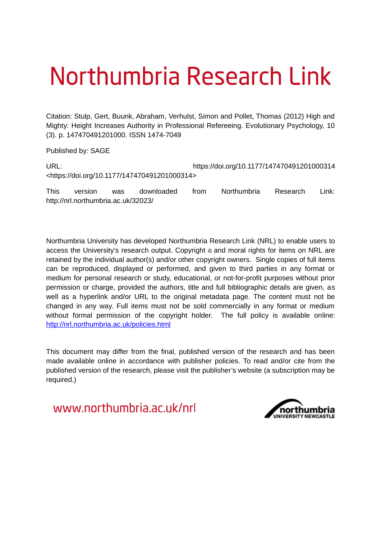# Northumbria Research Link

Citation: Stulp, Gert, Buunk, Abraham, Verhulst, Simon and Pollet, Thomas (2012) High and Mighty: Height Increases Authority in Professional Refereeing. Evolutionary Psychology, 10 (3). p. 147470491201000. ISSN 1474-7049

Published by: SAGE

| URL:                                                          | https://doi.org/10.1177/147470491201000314 |
|---------------------------------------------------------------|--------------------------------------------|
| <https: 10.1177="" 147470491201000314="" doi.org=""></https:> |                                            |

This version was downloaded from Northumbria Research Link: http://nrl.northumbria.ac.uk/32023/

Northumbria University has developed Northumbria Research Link (NRL) to enable users to access the University's research output. Copyright  $\circ$  and moral rights for items on NRL are retained by the individual author(s) and/or other copyright owners. Single copies of full items can be reproduced, displayed or performed, and given to third parties in any format or medium for personal research or study, educational, or not-for-profit purposes without prior permission or charge, provided the authors, title and full bibliographic details are given, as well as a hyperlink and/or URL to the original metadata page. The content must not be changed in any way. Full items must not be sold commercially in any format or medium without formal permission of the copyright holder. The full policy is available online: <http://nrl.northumbria.ac.uk/policies.html>

This document may differ from the final, published version of the research and has been made available online in accordance with publisher policies. To read and/or cite from the published version of the research, please visit the publisher's website (a subscription may be required.)

www.northumbria.ac.uk/nrl

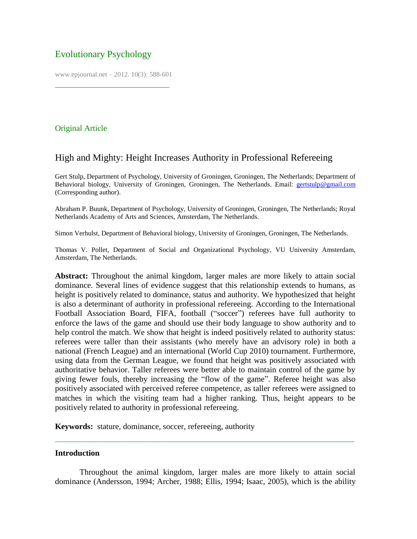# Evolutionary Psychology

www.epjournal.net – 2012. 10(3): 588-601

¯¯¯¯¯¯¯¯¯¯¯¯¯¯¯¯¯¯¯¯¯¯¯¯¯¯¯¯

# Original Article

# High and Mighty: Height Increases Authority in Professional Refereeing

Gert Stulp, Department of Psychology, University of Groningen, Groningen, The Netherlands; Department of Behavioral biology, University of Groningen, Groningen, The Netherlands. Email: [gertstulp@gmail.com](mailto:gertstulp@gmail.com) (Corresponding author).

Abraham P. Buunk, Department of Psychology, University of Groningen, Groningen, The Netherlands; Royal Netherlands Academy of Arts and Sciences, Amsterdam, The Netherlands.

Simon Verhulst, Department of Behavioral biology, University of Groningen, Groningen, The Netherlands.

Thomas V. Pollet, Department of Social and Organizational Psychology, VU University Amsterdam, Amsterdam, The Netherlands.

**Abstract:** Throughout the animal kingdom, larger males are more likely to attain social dominance. Several lines of evidence suggest that this relationship extends to humans, as height is positively related to dominance, status and authority. We hypothesized that height is also a determinant of authority in professional refereeing. According to the International Football Association Board, FIFA, football ("soccer") referees have full authority to enforce the laws of the game and should use their body language to show authority and to help control the match. We show that height is indeed positively related to authority status: referees were taller than their assistants (who merely have an advisory role) in both a national (French League) and an international (World Cup 2010) tournament. Furthermore, using data from the German League, we found that height was positively associated with authoritative behavior. Taller referees were better able to maintain control of the game by giving fewer fouls, thereby increasing the "flow of the game". Referee height was also positively associated with perceived referee competence, as taller referees were assigned to matches in which the visiting team had a higher ranking. Thus, height appears to be positively related to authority in professional refereeing.

**Keywords:** stature, dominance, soccer, refereeing, authority

**¯¯¯¯¯¯¯¯¯¯¯¯¯¯¯¯¯¯¯¯¯¯¯¯¯¯¯¯¯¯¯¯¯¯¯¯¯¯¯¯¯¯¯¯¯¯¯¯¯¯¯¯¯¯¯¯¯¯¯¯¯¯¯¯¯¯¯¯¯¯¯¯¯¯¯¯¯¯¯¯¯¯¯¯¯¯¯¯**

# **Introduction**

Throughout the animal kingdom, larger males are more likely to attain social dominance (Andersson, 1994; Archer, 1988; Ellis, 1994; Isaac, 2005), which is the ability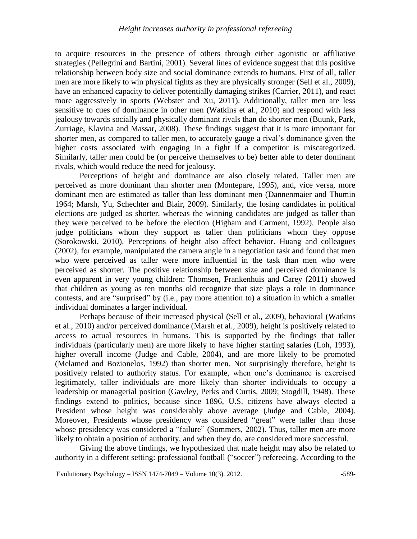to acquire resources in the presence of others through either agonistic or affiliative strategies (Pellegrini and Bartini, 2001). Several lines of evidence suggest that this positive relationship between body size and social dominance extends to humans. First of all, taller men are more likely to win physical fights as they are physically stronger (Sell et al., 2009), have an enhanced capacity to deliver potentially damaging strikes (Carrier, 2011), and react more aggressively in sports (Webster and Xu, 2011). Additionally, taller men are less sensitive to cues of dominance in other men (Watkins et al., 2010) and respond with less jealousy towards socially and physically dominant rivals than do shorter men (Buunk, Park, Zurriage, Klavina and Massar, 2008). These findings suggest that it is more important for shorter men, as compared to taller men, to accurately gauge a rival's dominance given the higher costs associated with engaging in a fight if a competitor is miscategorized. Similarly, taller men could be (or perceive themselves to be) better able to deter dominant rivals, which would reduce the need for jealousy.

Perceptions of height and dominance are also closely related. Taller men are perceived as more dominant than shorter men (Montepare, 1995), and, vice versa, more dominant men are estimated as taller than less dominant men (Dannenmaier and Thumin 1964; Marsh, Yu, Schechter and Blair, 2009). Similarly, the losing candidates in political elections are judged as shorter, whereas the winning candidates are judged as taller than they were perceived to be before the election (Higham and Carment, 1992). People also judge politicians whom they support as taller than politicians whom they oppose (Sorokowski, 2010). Perceptions of height also affect behavior. Huang and colleagues (2002), for example, manipulated the camera angle in a negotiation task and found that men who were perceived as taller were more influential in the task than men who were perceived as shorter. The positive relationship between size and perceived dominance is even apparent in very young children: Thomsen, Frankenhuis and Carey (2011) showed that children as young as ten months old recognize that size plays a role in dominance contests, and are "surprised" by (i.e., pay more attention to) a situation in which a smaller individual dominates a larger individual.

Perhaps because of their increased physical (Sell et al., 2009), behavioral (Watkins et al., 2010) and/or perceived dominance (Marsh et al., 2009), height is positively related to access to actual resources in humans. This is supported by the findings that taller individuals (particularly men) are more likely to have higher starting salaries (Loh, 1993), higher overall income (Judge and Cable, 2004), and are more likely to be promoted (Melamed and Bozionelos, 1992) than shorter men. Not surprisingly therefore, height is positively related to authority status. For example, when one's dominance is exercised legitimately, taller individuals are more likely than shorter individuals to occupy a leadership or managerial position (Gawley, Perks and Curtis, 2009; Stogdill, 1948). These findings extend to politics, because since 1896, U.S. citizens have always elected a President whose height was considerably above average (Judge and Cable, 2004). Moreover, Presidents whose presidency was considered "great" were taller than those whose presidency was considered a "failure" (Sommers, 2002). Thus, taller men are more likely to obtain a position of authority, and when they do, are considered more successful.

Giving the above findings, we hypothesized that male height may also be related to authority in a different setting: professional football ("soccer") refereeing. According to the

Evolutionary Psychology – ISSN 1474-7049 – Volume  $10(3)$ . 2012.  $-589$ -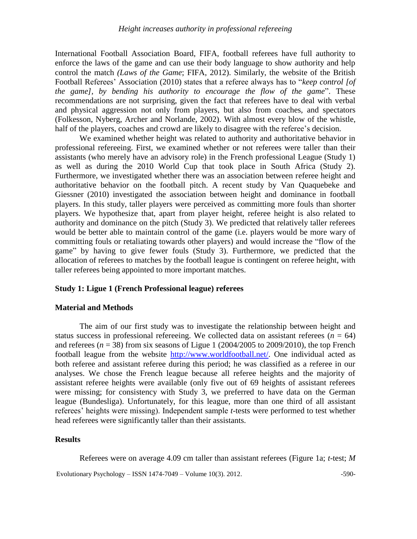International Football Association Board, FIFA, football referees have full authority to enforce the laws of the game and can use their body language to show authority and help control the match *(Laws of the Game*; FIFA, 2012). Similarly, the website of the British Football Referees' Association (2010) states that a referee always has to "*keep control [of the game], by bending his authority to encourage the flow of the game*". These recommendations are not surprising, given the fact that referees have to deal with verbal and physical aggression not only from players, but also from coaches, and spectators (Folkesson, Nyberg, Archer and Norlande, 2002). With almost every blow of the whistle, half of the players, coaches and crowd are likely to disagree with the referee's decision.

We examined whether height was related to authority and authoritative behavior in professional refereeing. First, we examined whether or not referees were taller than their assistants (who merely have an advisory role) in the French professional League (Study 1) as well as during the 2010 World Cup that took place in South Africa (Study 2). Furthermore, we investigated whether there was an association between referee height and authoritative behavior on the football pitch. A recent study by Van Quaquebeke and Giessner (2010) investigated the association between height and dominance in football players. In this study, taller players were perceived as committing more fouls than shorter players. We hypothesize that, apart from player height, referee height is also related to authority and dominance on the pitch (Study 3). We predicted that relatively taller referees would be better able to maintain control of the game (i.e. players would be more wary of committing fouls or retaliating towards other players) and would increase the "flow of the game" by having to give fewer fouls (Study 3). Furthermore, we predicted that the allocation of referees to matches by the football league is contingent on referee height, with taller referees being appointed to more important matches.

# **Study 1: Ligue 1 (French Professional league) referees**

#### **Material and Methods**

The aim of our first study was to investigate the relationship between height and status success in professional refereeing. We collected data on assistant referees  $(n = 64)$ and referees  $(n = 38)$  from six seasons of Ligue 1 (2004/2005 to 2009/2010), the top French football league from the website [http://www.worldfootball.net/.](http://www.worldfootball.net/) One individual acted as both referee and assistant referee during this period; he was classified as a referee in our analyses. We chose the French league because all referee heights and the majority of assistant referee heights were available (only five out of 69 heights of assistant referees were missing; for consistency with Study 3, we preferred to have data on the German league (Bundesliga). Unfortunately, for this league, more than one third of all assistant referees' heights were missing). Independent sample *t*-tests were performed to test whether head referees were significantly taller than their assistants.

# **Results**

Evolutionary Psychology – ISSN  $1474-7049$  – Volume  $10(3)$ . 2012. Referees were on average 4.09 cm taller than assistant referees (Figure 1a; *t*-test; *M*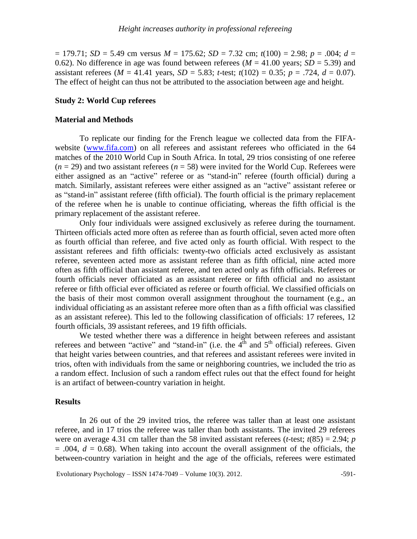= 179.71; *SD* = 5.49 cm versus *M* = 175.62; *SD* = 7.32 cm; *t*(100) = 2.98; *p* = .004; *d* = 0.62). No difference in age was found between referees  $(M = 41.00$  years;  $SD = 5.39$  and assistant referees ( $M = 41.41$  years,  $SD = 5.83$ ; *t*-test;  $t(102) = 0.35$ ;  $p = .724$ ,  $d = 0.07$ ). The effect of height can thus not be attributed to the association between age and height.

#### **Study 2: World Cup referees**

#### **Material and Methods**

To replicate our finding for the French league we collected data from the FIFAwebsite [\(www.fifa.com\)](http://www.fifa.com/) on all referees and assistant referees who officiated in the 64 matches of the 2010 World Cup in South Africa. In total, 29 trios consisting of one referee  $(n = 29)$  and two assistant referees  $(n = 58)$  were invited for the World Cup. Referees were either assigned as an "active" referee or as "stand-in" referee (fourth official) during a match. Similarly, assistant referees were either assigned as an "active" assistant referee or as "stand-in" assistant referee (fifth official). The fourth official is the primary replacement of the referee when he is unable to continue officiating, whereas the fifth official is the primary replacement of the assistant referee.

Only four individuals were assigned exclusively as referee during the tournament. Thirteen officials acted more often as referee than as fourth official, seven acted more often as fourth official than referee, and five acted only as fourth official. With respect to the assistant referees and fifth officials: twenty-two officials acted exclusively as assistant referee, seventeen acted more as assistant referee than as fifth official, nine acted more often as fifth official than assistant referee, and ten acted only as fifth officials. Referees or fourth officials never officiated as an assistant referee or fifth official and no assistant referee or fifth official ever officiated as referee or fourth official. We classified officials on the basis of their most common overall assignment throughout the tournament (e.g., an individual officiating as an assistant referee more often than as a fifth official was classified as an assistant referee). This led to the following classification of officials: 17 referees, 12 fourth officials, 39 assistant referees, and 19 fifth officials.

We tested whether there was a difference in height between referees and assistant referees and between "active" and "stand-in" (i.e. the  $4<sup>th</sup>$  and  $5<sup>th</sup>$  official) referees. Given that height varies between countries, and that referees and assistant referees were invited in trios, often with individuals from the same or neighboring countries, we included the trio as a random effect. Inclusion of such a random effect rules out that the effect found for height is an artifact of between-country variation in height.

### **Results**

In 26 out of the 29 invited trios, the referee was taller than at least one assistant referee, and in 17 trios the referee was taller than both assistants. The invited 29 referees were on average 4.31 cm taller than the 58 invited assistant referees (*t*-test; *t*(85) = 2.94; *p*  $= .004$ ,  $d = 0.68$ ). When taking into account the overall assignment of the officials, the between-country variation in height and the age of the officials, referees were estimated

Evolutionary Psychology – ISSN 1474-7049 – Volume  $10(3)$ . 2012.  $-591$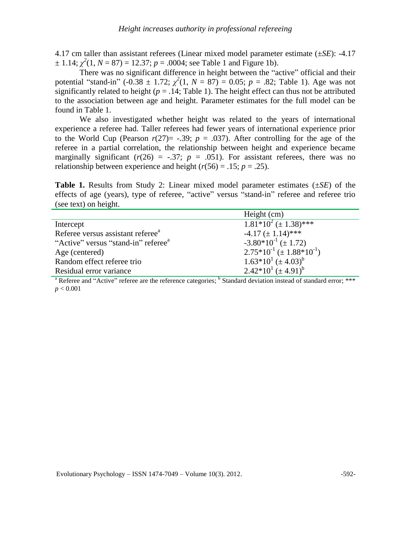4.17 cm taller than assistant referees (Linear mixed model parameter estimate (±*SE*): -4.17  $\pm$  1.14;  $\chi^2(1, N = 87) = 12.37$ ;  $p = .0004$ ; see Table 1 and Figure 1b).

There was no significant difference in height between the "active" official and their potential "stand-in" (-0.38  $\pm$  1.72;  $\chi^2(1, N = 87) = 0.05$ ;  $p = .82$ ; Table 1). Age was not significantly related to height ( $p = 0.14$ ; Table 1). The height effect can thus not be attributed to the association between age and height. Parameter estimates for the full model can be found in Table 1.

We also investigated whether height was related to the years of international experience a referee had. Taller referees had fewer years of international experience prior to the World Cup (Pearson  $r(27) = -.39$ ;  $p = .037$ ). After controlling for the age of the referee in a partial correlation, the relationship between height and experience became marginally significant  $(r(26) = -.37; p = .051)$ . For assistant referees, there was no relationship between experience and height  $(r(56) = .15; p = .25)$ .

**Table 1.** Results from Study 2: Linear mixed model parameter estimates  $(\pm SE)$  of the effects of age (years), type of referee, "active" versus "stand-in" referee and referee trio (see text) on height.

|                                               | Height (cm)                       |
|-----------------------------------------------|-----------------------------------|
| Intercept                                     | $1.81*10^2 \ (\pm 1.38)$ ***      |
| Referee versus assistant referee <sup>a</sup> | $-4.17 \ (\pm 1.14)$ ***          |
| "Active" versus "stand-in" referee"           | $-3.80*10^{-1} (\pm 1.72)$        |
| Age (centered)                                | $2.75*10^{-1} (\pm 1.88*10^{-1})$ |
| Random effect referee trio                    | $1.63*10^{1} (\pm 4.03)^{b}$      |
| Residual error variance                       | $2.42*10^{1} (\pm 4.91)^{b}$      |

<sup>a</sup> Referee and "Active" referee are the reference categories; <sup>b</sup> Standard deviation instead of standard error; \*\*\*  $p < 0.001$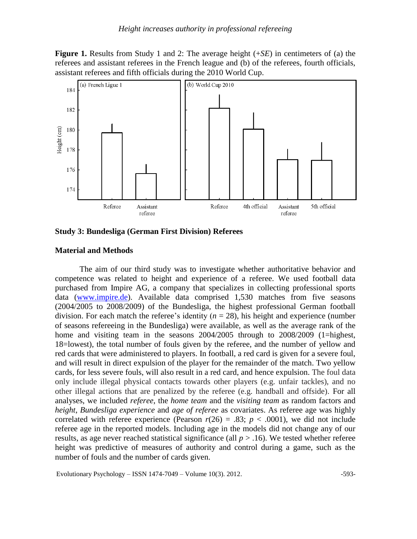**Figure 1.** Results from Study 1 and 2: The average height (+*SE*) in centimeters of (a) the referees and assistant referees in the French league and (b) of the referees, fourth officials, assistant referees and fifth officials during the 2010 World Cup.



**Study 3: Bundesliga (German First Division) Referees**

# **Material and Methods**

The aim of our third study was to investigate whether authoritative behavior and competence was related to height and experience of a referee. We used football data purchased from Impire AG, a company that specializes in collecting professional sports data [\(www.impire.de\)](http://www.impire.de/). Available data comprised 1,530 matches from five seasons (2004/2005 to 2008/2009) of the Bundesliga, the highest professional German football division. For each match the referee's identity  $(n = 28)$ , his height and experience (number of seasons refereeing in the Bundesliga) were available, as well as the average rank of the home and visiting team in the seasons  $2004/2005$  through to  $2008/2009$  (1=highest, 18=lowest), the total number of fouls given by the referee, and the number of yellow and red cards that were administered to players. In football, a red card is given for a severe foul, and will result in direct expulsion of the player for the remainder of the match. Two yellow cards, for less severe fouls, will also result in a red card, and hence expulsion. The foul data only include illegal physical contacts towards other players (e.g. unfair tackles), and no other illegal actions that are penalized by the referee (e.g. handball and offside). For all analyses, we included *referee*, the *home team* and the *visiting team* as random factors and *height*, *Bundesliga experience* and *age of referee* as covariates. As referee age was highly correlated with referee experience (Pearson  $r(26) = .83$ ;  $p < .0001$ ), we did not include referee age in the reported models. Including age in the models did not change any of our results, as age never reached statistical significance (all *p* > .16). We tested whether referee height was predictive of measures of authority and control during a game, such as the number of fouls and the number of cards given.

Evolutionary Psychology – ISSN 1474-7049 – Volume 10(3). 2012. -593-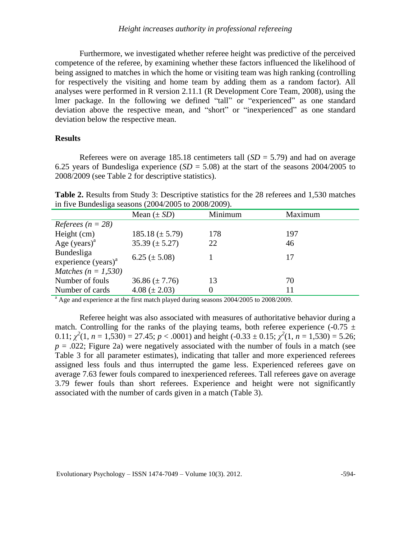Furthermore, we investigated whether referee height was predictive of the perceived competence of the referee, by examining whether these factors influenced the likelihood of being assigned to matches in which the home or visiting team was high ranking (controlling for respectively the visiting and home team by adding them as a random factor). All analyses were performed in R version 2.11.1 (R Development Core Team, 2008), using the lmer package. In the following we defined "tall" or "experienced" as one standard deviation above the respective mean, and "short" or "inexperienced" as one standard deviation below the respective mean.

### **Results**

Referees were on average 185.18 centimeters tall (*SD* = 5.79) and had on average 6.25 years of Bundesliga experience  $(SD = 5.08)$  at the start of the seasons 2004/2005 to 2008/2009 (see Table 2 for descriptive statistics).

**Table 2.** Results from Study 3: Descriptive statistics for the 28 referees and 1,530 matches in five Bundesliga seasons (2004/2005 to 2008/2009).

|                                | Mean $(\pm SD)$       | Minimum  | Maximum |
|--------------------------------|-----------------------|----------|---------|
| Referees ( $n = 28$ )          |                       |          |         |
| Height (cm)                    | $185.18 \ (\pm 5.79)$ | 178      | 197     |
| Age $(years)^a$                | $35.39 \ (\pm 5.27)$  | 22       | 46      |
| Bundesliga                     | $6.25 (\pm 5.08)$     |          | 17      |
| experience $(years)a$          |                       |          |         |
| <i>Matches</i> ( $n = 1,530$ ) |                       |          |         |
| Number of fouls                | $36.86 \ (\pm 7.76)$  | 13       | 70      |
| Number of cards                | 4.08 ( $\pm$ 2.03)    | $\theta$ | 11      |

<sup>a</sup> Age and experience at the first match played during seasons 2004/2005 to 2008/2009.

Referee height was also associated with measures of authoritative behavior during a match. Controlling for the ranks of the playing teams, both referee experience  $(-0.75 \pm 1.00)$  $0.11$ ;  $\chi^2(1, n = 1,530) = 27.45$ ;  $p < .0001$ ) and height (-0.33  $\pm$  0.15;  $\chi^2(1, n = 1,530) = 5.26$ ;  $p = 0.022$ ; Figure 2a) were negatively associated with the number of fouls in a match (see Table 3 for all parameter estimates), indicating that taller and more experienced referees assigned less fouls and thus interrupted the game less. Experienced referees gave on average 7.63 fewer fouls compared to inexperienced referees. Tall referees gave on average 3.79 fewer fouls than short referees. Experience and height were not significantly associated with the number of cards given in a match (Table 3).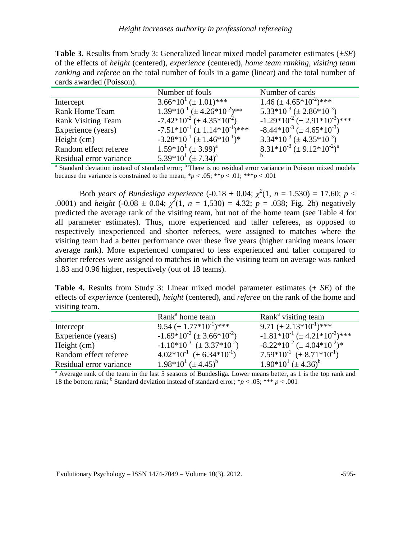**Table 3.** Results from Study 3: Generalized linear mixed model parameter estimates (±*SE*) of the effects of *height* (centered), *experience* (centered), *home team ranking*, *visiting team ranking* and *referee* on the total number of fouls in a game (linear) and the total number of cards awarded (Poisson).

|                           | Number of fouls                             | Number of cards                        |
|---------------------------|---------------------------------------------|----------------------------------------|
| Intercept                 | $3.66*10^{1} (\pm 1.01)$ ***                | $1.46 \ (\pm 4.65^*10^{-2})$ ***       |
| Rank Home Team            | $1.39*10^{-1}$ (± 4.26*10 <sup>-2</sup> )** | $5.33*10^{-3} (\pm 2.86*10^{-3})$      |
| <b>Rank Visiting Team</b> | $-7.42*10^{-2} (\pm 4.35*10^{-2})$          | $-1.29*10^{-2} (\pm 2.91*10^{-3})$ *** |
| Experience (years)        | $-7.51*10^{-1} (\pm 1.14*10^{-1})$ ***      | $-8.44*10^{-3} (\pm 4.65*10^{-3})$     |
| Height (cm)               | $-3.28*10^{-1} (\pm 1.46*10^{-1})$ *        | $3.34*10^{-3} (\pm 4.35*10^{-3})$      |
| Random effect referee     | $1.59*10^{1} (\pm 3.99)^{a}$                | $8.31*10^{-3} (\pm 9.12*10^{-2})^a$    |
| Residual error variance   | $5.39*10^{1} (\pm 7.34)^{a}$                |                                        |

<sup>a</sup> Standard deviation instead of standard error; <sup>b</sup> There is no residual error variance in Poisson mixed models because the variance is constrained to the mean;  $p < .05$ ;  $p < .01$ ;  $p > .001$ 

Both *years of Bundesliga experience* (-0.18  $\pm$  0.04;  $\chi^2(1, n = 1,530) = 17.60$ ;  $p <$ .0001) and *height* (-0.08  $\pm$  0.04;  $\chi^2(1, n = 1.530) = 4.32$ ;  $p = .038$ ; Fig. 2b) negatively predicted the average rank of the visiting team, but not of the home team (see Table 4 for all parameter estimates). Thus, more experienced and taller referees, as opposed to respectively inexperienced and shorter referees, were assigned to matches where the visiting team had a better performance over these five years (higher ranking means lower average rank). More experienced compared to less experienced and taller compared to shorter referees were assigned to matches in which the visiting team on average was ranked 1.83 and 0.96 higher, respectively (out of 18 teams).

**Table 4.** Results from Study 3: Linear mixed model parameter estimates  $(\pm SE)$  of the effects of *experience* (centered), *height* (centered), and *referee* on the rank of the home and visiting team.

|                         | Rank <sup>a</sup> home team                     | Rank <sup>a</sup> visiting team                       |
|-------------------------|-------------------------------------------------|-------------------------------------------------------|
| Intercept               | 9.54 ( $\pm$ 1.77*10 <sup>-1</sup> )***         | 9.71 ( $\pm$ 2.13*10 <sup>-1</sup> )***               |
| Experience (years)      | $-1.69*10^{-2} (\pm 3.66*10^{-2})$              | $-1.81*10^{-1} (\pm 4.21*10^{-2})$ ***                |
| Height (cm)             | $-1.10*10^{-3}$ ( $\pm$ 3.37*10 <sup>-2</sup> ) | $-8.22*10^{-2} (\pm 4.04*10^{-2})$ *                  |
| Random effect referee   | $4.02*10^{-1}$ (± 6.34*10 <sup>-1</sup> )       | 7.59*10 <sup>-1</sup> ( $\pm$ 8.71*10 <sup>-1</sup> ) |
| Residual error variance | $1.98*10^{1} (\pm 4.45)^{b}$                    | $1.90*10^{1} (\pm 4.36)^{b}$                          |

<sup>a</sup> Average rank of the team in the last 5 seasons of Bundesliga. Lower means better, as 1 is the top rank and 18 the bottom rank; <sup>b</sup> Standard deviation instead of standard error;  $\frac{p}{q}$  < .05; \*\*\* *p* < .001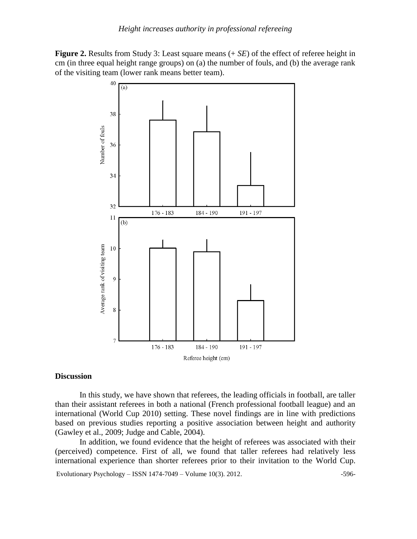**Figure 2.** Results from Study 3: Least square means (+ *SE*) of the effect of referee height in cm (in three equal height range groups) on (a) the number of fouls, and (b) the average rank of the visiting team (lower rank means better team).



### **Discussion**

In this study, we have shown that referees, the leading officials in football, are taller than their assistant referees in both a national (French professional football league) and an international (World Cup 2010) setting. These novel findings are in line with predictions based on previous studies reporting a positive association between height and authority (Gawley et al., 2009; Judge and Cable, 2004).

In addition, we found evidence that the height of referees was associated with their (perceived) competence. First of all, we found that taller referees had relatively less international experience than shorter referees prior to their invitation to the World Cup.

Evolutionary Psychology – ISSN 1474-7049 – Volume 10(3). 2012. -596-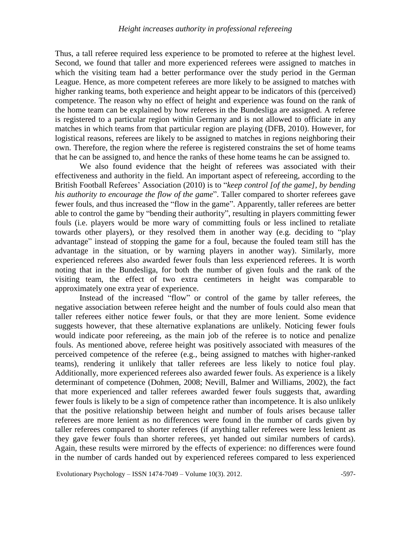#### *Height increases authority in professional refereeing*

Thus, a tall referee required less experience to be promoted to referee at the highest level. Second, we found that taller and more experienced referees were assigned to matches in which the visiting team had a better performance over the study period in the German League. Hence, as more competent referees are more likely to be assigned to matches with higher ranking teams, both experience and height appear to be indicators of this (perceived) competence. The reason why no effect of height and experience was found on the rank of the home team can be explained by how referees in the Bundesliga are assigned. A referee is registered to a particular region within Germany and is not allowed to officiate in any matches in which teams from that particular region are playing (DFB, 2010). However, for logistical reasons, referees are likely to be assigned to matches in regions neighboring their own. Therefore, the region where the referee is registered constrains the set of home teams that he can be assigned to, and hence the ranks of these home teams he can be assigned to.

We also found evidence that the height of referees was associated with their effectiveness and authority in the field. An important aspect of refereeing, according to the British Football Referees' Association (2010) is to "*keep control [of the game], by bending his authority to encourage the flow of the game*". Taller compared to shorter referees gave fewer fouls, and thus increased the "flow in the game". Apparently, taller referees are better able to control the game by "bending their authority", resulting in players committing fewer fouls (i.e. players would be more wary of committing fouls or less inclined to retaliate towards other players), or they resolved them in another way (e.g. deciding to "play advantage" instead of stopping the game for a foul, because the fouled team still has the advantage in the situation, or by warning players in another way). Similarly, more experienced referees also awarded fewer fouls than less experienced referees. It is worth noting that in the Bundesliga, for both the number of given fouls and the rank of the visiting team, the effect of two extra centimeters in height was comparable to approximately one extra year of experience.

Instead of the increased "flow" or control of the game by taller referees, the negative association between referee height and the number of fouls could also mean that taller referees either notice fewer fouls, or that they are more lenient. Some evidence suggests however, that these alternative explanations are unlikely. Noticing fewer fouls would indicate poor refereeing, as the main job of the referee is to notice and penalize fouls. As mentioned above, referee height was positively associated with measures of the perceived competence of the referee (e.g., being assigned to matches with higher-ranked teams), rendering it unlikely that taller referees are less likely to notice foul play. Additionally, more experienced referees also awarded fewer fouls. As experience is a likely determinant of competence (Dohmen, 2008; Nevill, Balmer and Williams, 2002), the fact that more experienced and taller referees awarded fewer fouls suggests that, awarding fewer fouls is likely to be a sign of competence rather than incompetence. It is also unlikely that the positive relationship between height and number of fouls arises because taller referees are more lenient as no differences were found in the number of cards given by taller referees compared to shorter referees (if anything taller referees were less lenient as they gave fewer fouls than shorter referees, yet handed out similar numbers of cards). Again, these results were mirrored by the effects of experience: no differences were found in the number of cards handed out by experienced referees compared to less experienced

Evolutionary Psychology – ISSN  $1474-7049$  – Volume  $10(3)$ . 2012.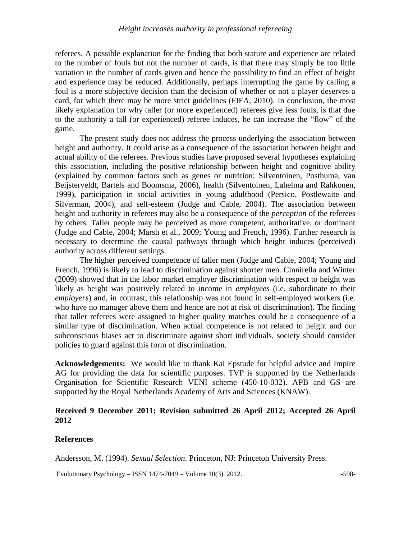#### *Height increases authority in professional refereeing*

referees. A possible explanation for the finding that both stature and experience are related to the number of fouls but not the number of cards, is that there may simply be too little variation in the number of cards given and hence the possibility to find an effect of height and experience may be reduced. Additionally, perhaps interrupting the game by calling a foul is a more subjective decision than the decision of whether or not a player deserves a card, for which there may be more strict guidelines (FIFA, 2010). In conclusion, the most likely explanation for why taller (or more experienced) referees give less fouls, is that due to the authority a tall (or experienced) referee induces, he can increase the "flow" of the game.

The present study does not address the process underlying the association between height and authority. It could arise as a consequence of the association between height and actual ability of the referees. Previous studies have proposed several hypotheses explaining this association, including the positive relationship between height and cognitive ability (explained by common factors such as genes or nutrition; Silventoinen, Posthuma, van Beijsterveldt, Bartels and Boomsma, 2006), health (Silventoinen, Lahelma and Rahkonen, 1999), participation in social activities in young adulthood (Persico, Postlewaite and Silverman, 2004), and self-esteem (Judge and Cable, 2004). The association between height and authority in referees may also be a consequence of the *perception* of the referees by others. Taller people may be perceived as more competent, authoritative, or dominant (Judge and Cable, 2004; Marsh et al., 2009; Young and French, 1996). Further research is necessary to determine the causal pathways through which height induces (perceived) authority across different settings.

The higher perceived competence of taller men (Judge and Cable, 2004; Young and French, 1996) is likely to lead to discrimination against shorter men. Cinnirella and Winter (2009) showed that in the labor market employer discrimination with respect to height was likely as height was positively related to income in *employees* (i.e. subordinate to their *employers*) and, in contrast, this relationship was not found in self-employed workers (i.e. who have no manager above them and hence are not at risk of discrimination). The finding that taller referees were assigned to higher quality matches could be a consequence of a similar type of discrimination. When actual competence is not related to height and our subconscious biases act to discriminate against short individuals, society should consider policies to guard against this form of discrimination.

**Acknowledgements:** We would like to thank Kai Epstude for helpful advice and Impire AG for providing the data for scientific purposes. TVP is supported by the Netherlands Organisation for Scientific Research VENI scheme (450-10-032). APB and GS are supported by the Royal Netherlands Academy of Arts and Sciences (KNAW).

## **Received 9 December 2011; Revision submitted 26 April 2012; Accepted 26 April 2012**

#### **References**

Andersson, M. (1994). *Sexual Selection*. Princeton, NJ: Princeton University Press.

Evolutionary Psychology – ISSN 1474-7049 – Volume 10(3). 2012. -598-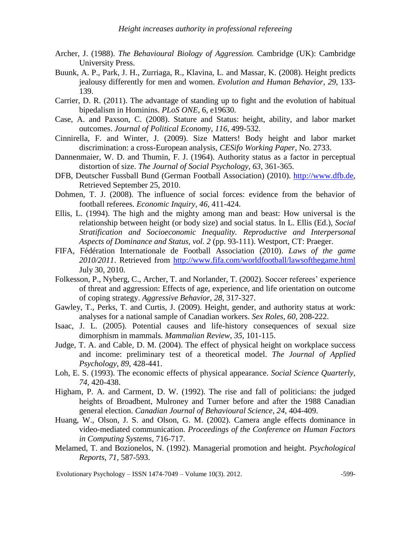- Archer, J. (1988). *The Behavioural Biology of Aggression.* Cambridge (UK): Cambridge University Press.
- Buunk, A. P., Park, J. H., Zurriaga, R., Klavina, L. and Massar, K. (2008). Height predicts jealousy differently for men and women. *Evolution and Human Behavior*, *29*, 133- 139.
- Carrier, D. R. (2011). The advantage of standing up to fight and the evolution of habitual bipedalism in Hominins. *PLoS ONE,* 6, e19630.
- Case, A. and Paxson, C. (2008). Stature and Status: height, ability, and labor market outcomes. *Journal of Political Economy*, *116*, 499-532.
- Cinnirella, F. and Winter, J. (2009). Size Matters! Body height and labor market discrimination: a cross-European analysis, *CESifo Working Paper*, No. 2733.
- Dannenmaier, W. D. and Thumin, F. J. (1964). Authority status as a factor in perceptual distortion of size. *The Journal of Social Psychology*, *63*, 361-365.
- DFB, Deutscher Fussball Bund (German Football Association) (2010). [http://www.dfb.de,](http://www.dfb.de/) Retrieved September 25, 2010.
- Dohmen, T. J. (2008). The influence of social forces: evidence from the behavior of football referees. *Economic Inquiry*, *46*, 411-424.
- Ellis, L. (1994). The high and the mighty among man and beast: How universal is the relationship between height (or body size) and social status. In L. Ellis (Ed.), *Social Stratification and Socioeconomic Inequality. Reproductive and Interpersonal Aspects of Dominance and Status, vol. 2* (pp. 93-111). Westport, CT: Praeger.
- FIFA, Fédération Internationale de Football Association (2010). *Laws of the game 2010/2011*. Retrieved from<http://www.fifa.com/worldfootball/lawsofthegame.html> July 30, 2010.
- Folkesson, P., Nyberg, C., Archer, T. and Norlander, T. (2002). Soccer referees' experience of threat and aggression: Effects of age, experience, and life orientation on outcome of coping strategy. *Aggressive Behavior*, *28*, 317-327.
- Gawley, T., Perks, T. and Curtis, J. (2009). Height, gender, and authority status at work: analyses for a national sample of Canadian workers. *Sex Roles*, *60*, 208-222.
- Isaac, J. L. (2005). Potential causes and life-history consequences of sexual size dimorphism in mammals. *Mammalian Review*, *35*, 101-115.
- Judge, T. A. and Cable, D. M. (2004). The effect of physical height on workplace success and income: preliminary test of a theoretical model. *The Journal of Applied Psychology*, *89*, 428-441.
- Loh, E. S. (1993). The economic effects of physical appearance. *Social Science Quarterly*, *74*, 420-438.
- Higham, P. A. and Carment, D. W. (1992). The rise and fall of politicians: the judged heights of Broadbent, Mulroney and Turner before and after the 1988 Canadian general election. *Canadian Journal of Behavioural Science*, *24*, 404-409.
- Huang, W., Olson, J. S. and Olson, G. M. (2002). Camera angle effects dominance in video-mediated communication. *Proceedings of the Conference on Human Factors in Computing Systems,* 716-717.
- Melamed, T. and Bozionelos, N. (1992). Managerial promotion and height. *Psychological Reports*, *71*, 587-593.

Evolutionary Psychology – ISSN 1474-7049 – Volume 10(3). 2012.  $-599$ -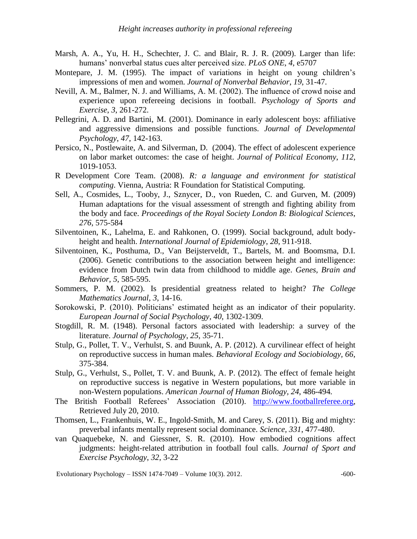- Marsh, A. A., Yu, H. H., Schechter, J. C. and Blair, R. J. R. (2009). Larger than life: humans' nonverbal status cues alter perceived size. *PLoS ONE*, *4*, e5707
- Montepare, J. M. (1995). The impact of variations in height on young children's impressions of men and women. *Journal of Nonverbal Behavior*, *19*, 31-47.
- Nevill, A. M., Balmer, N. J. and Williams, A. M. (2002). The influence of crowd noise and experience upon refereeing decisions in football. *Psychology of Sports and Exercise*, *3*, 261-272.
- Pellegrini, A. D. and Bartini, M. (2001). Dominance in early adolescent boys: affiliative and aggressive dimensions and possible functions. *Journal of Developmental Psychology*, *47*, 142-163.
- Persico, N., Postlewaite, A. and Silverman, D. (2004). The effect of adolescent experience on labor market outcomes: the case of height. *Journal of Political Economy*, *112*, 1019-1053.
- R Development Core Team. (2008). *R: a language and environment for statistical computing*. Vienna, Austria: R Foundation for Statistical Computing.
- Sell, A., Cosmides, L., Tooby, J., Sznycer, D., von Rueden, C. and Gurven, M. (2009) Human adaptations for the visual assessment of strength and fighting ability from the body and face. *Proceedings of the Royal Society London B: Biological Sciences*, *276*, 575-584
- Silventoinen, K., Lahelma, E. and Rahkonen, O. (1999). Social background, adult bodyheight and health. *International Journal of Epidemiology*, *28*, 911-918.
- Silventoinen, K., Posthuma, D., Van Beijsterveldt, T., Bartels, M. and Boomsma, D.I. (2006). Genetic contributions to the association between height and intelligence: evidence from Dutch twin data from childhood to middle age. *Genes, Brain and Behavior*, *5*, 585-595.
- Sommers, P. M. (2002). Is presidential greatness related to height? *The College Mathematics Journal*, *3*, 14-16.
- Sorokowski, P. (2010). Politicians' estimated height as an indicator of their popularity. *European Journal of Social Psychology*, *40*, 1302-1309.
- Stogdill, R. M. (1948). Personal factors associated with leadership: a survey of the literature. *Journal of Psychology*, *25*, 35-71.
- Stulp, G., Pollet, T. V., Verhulst, S. and Buunk, A. P. (2012). A curvilinear effect of height on reproductive success in human males. *Behavioral Ecology and Sociobiology, 66*, 375-384.
- Stulp, G., Verhulst, S., Pollet, T. V. and Buunk, A. P. (2012). The effect of female height on reproductive success is negative in Western populations, but more variable in non-Western populations. *American Journal of Human Biology, 24*, 486-494*.*
- The British Football Referees' Association (2010). [http://www.footballreferee.org,](http://www.footballreferee.org/) Retrieved July 20, 2010.
- Thomsen, L., Frankenhuis, W. E., Ingold-Smith, M. and Carey, S. (2011). Big and mighty: preverbal infants mentally represent social dominance. *Science, 331*, 477-480.
- van Quaquebeke, N. and Giessner, S. R. (2010). How embodied cognitions affect judgments: height-related attribution in football foul calls. *Journal of Sport and Exercise Psychology*, *32*, 3-22

Evolutionary Psychology – ISSN 1474-7049 – Volume 10(3). 2012.  $\sim$  -600-